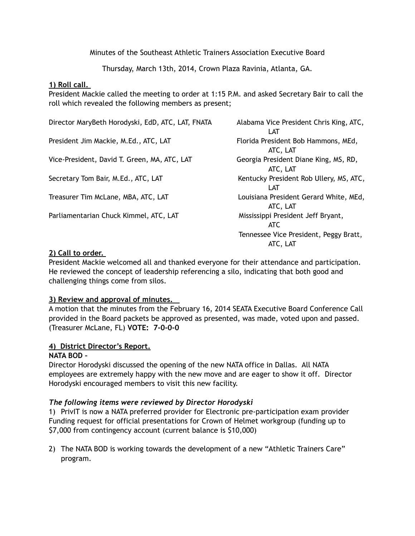Minutes of the Southeast Athletic Trainers Association Executive Board

Thursday, March 13th, 2014, Crown Plaza Ravinia, Atlanta, GA.

## **1) Roll call.**

President Mackie called the meeting to order at 1:15 P.M. and asked Secretary Bair to call the roll which revealed the following members as present;

| Director MaryBeth Horodyski, EdD, ATC, LAT, FNATA | Alabama Vice President Chris King, ATC,<br>LAT     |
|---------------------------------------------------|----------------------------------------------------|
| President Jim Mackie, M.Ed., ATC, LAT             | Florida President Bob Hammons, MEd,<br>ATC, LAT    |
| Vice-President, David T. Green, MA, ATC, LAT      | Georgia President Diane King, MS, RD,<br>ATC, LAT  |
| Secretary Tom Bair, M.Ed., ATC, LAT               | Kentucky President Rob Ullery, MS, ATC,<br>LAT     |
| Treasurer Tim McLane, MBA, ATC, LAT               | Louisiana President Gerard White, MEd,<br>ATC, LAT |
| Parliamentarian Chuck Kimmel, ATC, LAT            | Mississippi President Jeff Bryant,<br><b>ATC</b>   |
|                                                   | Tennessee Vice President, Peggy Bratt,<br>ATC, LAT |

## **2) Call to order.**

President Mackie welcomed all and thanked everyone for their attendance and participation. He reviewed the concept of leadership referencing a silo, indicating that both good and challenging things come from silos.

# **3) Review and approval of minutes.**

A motion that the minutes from the February 16, 2014 SEATA Executive Board Conference Call provided in the Board packets be approved as presented, was made, voted upon and passed. (Treasurer McLane, FL) **VOTE: 7-0-0-0** 

# **4) District Director's Report.**

### **NATA BOD –**

Director Horodyski discussed the opening of the new NATA office in Dallas. All NATA employees are extremely happy with the new move and are eager to show it off. Director Horodyski encouraged members to visit this new facility.

# *The following items were reviewed by Director Horodyski*

1) PrivIT is now a NATA preferred provider for Electronic pre-participation exam provider Funding request for official presentations for Crown of Helmet workgroup (funding up to \$7,000 from contingency account (current balance is \$10,000)

2) The NATA BOD is working towards the development of a new "Athletic Trainers Care" program.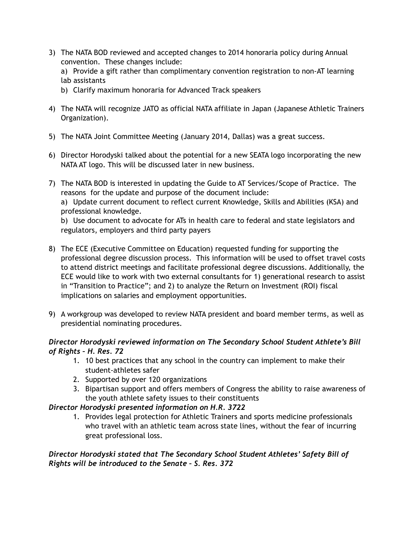- 3) The NATA BOD reviewed and accepted changes to 2014 honoraria policy during Annual convention. These changes include:
	- a) Provide a gift rather than complimentary convention registration to non-AT learning lab assistants
	- b) Clarify maximum honoraria for Advanced Track speakers
- 4) The NATA will recognize JATO as official NATA affiliate in Japan (Japanese Athletic Trainers Organization).
- 5) The NATA Joint Committee Meeting (January 2014, Dallas) was a great success.
- 6) Director Horodyski talked about the potential for a new SEATA logo incorporating the new NATA AT logo. This will be discussed later in new business.
- 7) The NATA BOD is interested in updating the Guide to AT Services/Scope of Practice. The reasons for the update and purpose of the document include: a) Update current document to reflect current Knowledge, Skills and Abilities (KSA) and professional knowledge.

b) Use document to advocate for ATs in health care to federal and state legislators and regulators, employers and third party payers

- 8) The ECE (Executive Committee on Education) requested funding for supporting the professional degree discussion process. This information will be used to offset travel costs to attend district meetings and facilitate professional degree discussions. Additionally, the ECE would like to work with two external consultants for 1) generational research to assist in "Transition to Practice"; and 2) to analyze the Return on Investment (ROI) fiscal implications on salaries and employment opportunities.
- 9) A workgroup was developed to review NATA president and board member terms, as well as presidential nominating procedures.

# *Director Horodyski reviewed information on The Secondary School Student Athlete's Bill of Rights – H. Res. 72*

- 1. 10 best practices that any school in the country can implement to make their student-athletes safer
- 2. Supported by over 120 organizations
- 3. Bipartisan support and offers members of Congress the ability to raise awareness of the youth athlete safety issues to their constituents

# *Director Horodyski presented information on H.R. 3722*

1. Provides legal protection for Athletic Trainers and sports medicine professionals who travel with an athletic team across state lines, without the fear of incurring great professional loss.

*Director Horodyski stated that The Secondary School Student Athletes' Safety Bill of Rights will be introduced to the Senate – S. Res. 372*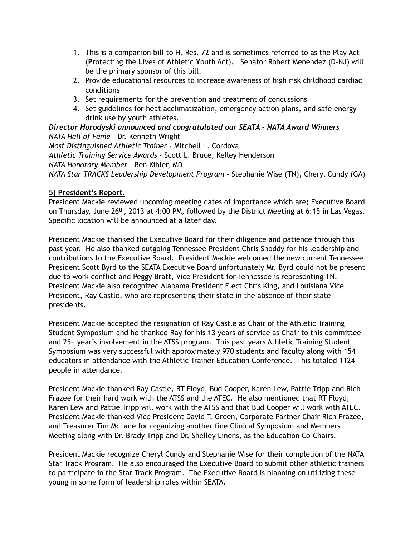- 1. This is a companion bill to H. Res. 72 and is sometimes referred to as the Play Act (**P**rotecting the **L**ives of **A**thletic **Y**outh Act). Senator Robert Menendez (D-NJ) will be the primary sponsor of this bill.
- 2. Provide educational resources to increase awareness of high risk childhood cardiac conditions
- 3. Set requirements for the prevention and treatment of concussions
- 4. Set guidelines for heat acclimatization, emergency action plans, and safe energy drink use by youth athletes.

*Director Horodyski announced and congratulated our SEATA - NATA Award Winners NATA Hall of Fame -* Dr. Kenneth Wright

*Most Distinguished Athletic Trainer -* Mitchell L. Cordova *Athletic Training Service Awards -* Scott L. Bruce, Kelley Henderson *NATA Honorary Member -* Ben Kibler, MD *NATA Star TRACKS Leadership Development Program -* Stephanie Wise (TN), Cheryl Cundy (GA)

## **5) President's Report.**

President Mackie reviewed upcoming meeting dates of importance which are; Executive Board on Thursday, June 26<sup>th</sup>, 2013 at 4:00 PM, followed by the District Meeting at 6:15 in Las Vegas. Specific location will be announced at a later day.

President Mackie thanked the Executive Board for their diligence and patience through this past year. He also thanked outgoing Tennessee President Chris Snoddy for his leadership and contributions to the Executive Board. President Mackie welcomed the new current Tennessee President Scott Byrd to the SEATA Executive Board unfortunately Mr. Byrd could not be present due to work conflict and Peggy Bratt, Vice President for Tennessee is representing TN. President Mackie also recognized Alabama President Elect Chris King, and Louisiana Vice President, Ray Castle, who are representing their state in the absence of their state presidents.

President Mackie accepted the resignation of Ray Castle as Chair of the Athletic Training Student Symposium and he thanked Ray for his 13 years of service as Chair to this committee and 25+ year's involvement in the ATSS program. This past years Athletic Training Student Symposium was very successful with approximately 970 students and faculty along with 154 educators in attendance with the Athletic Trainer Education Conference. This totaled 1124 people in attendance.

President Mackie thanked Ray Castle, RT Floyd, Bud Cooper, Karen Lew, Pattie Tripp and Rich Frazee for their hard work with the ATSS and the ATEC. He also mentioned that RT Floyd, Karen Lew and Pattie Tripp will work with the ATSS and that Bud Cooper will work with ATEC. President Mackie thanked Vice President David T. Green, Corporate Partner Chair Rich Frazee, and Treasurer Tim McLane for organizing another fine Clinical Symposium and Members Meeting along with Dr. Brady Tripp and Dr. Shelley Linens, as the Education Co-Chairs.

President Mackie recognize Cheryl Cundy and Stephanie Wise for their completion of the NATA Star Track Program. He also encouraged the Executive Board to submit other athletic trainers to participate in the Star Track Program. The Executive Board is planning on utilizing these young in some form of leadership roles within SEATA.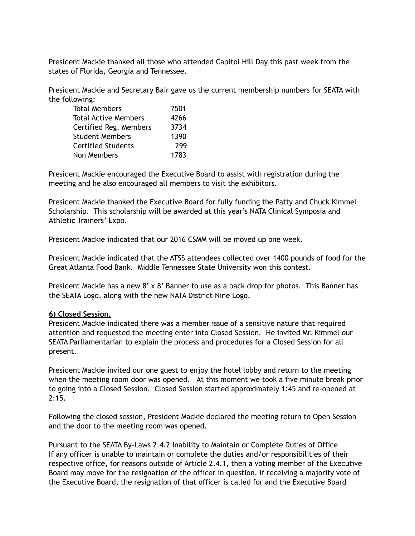President Mackie thanked all those who attended Capitol Hill Day this past week from the states of Florida, Georgia and Tennessee.

President Mackie and Secretary Bair gave us the current membership numbers for SEATA with the following:

| 7501 |
|------|
| 4266 |
| 3734 |
| 1390 |
| 299  |
| 1783 |
|      |

President Mackie encouraged the Executive Board to assist with registration during the meeting and he also encouraged all members to visit the exhibitors.

President Mackie thanked the Executive Board for fully funding the Patty and Chuck Kimmel Scholarship. This scholarship will be awarded at this year's NATA Clinical Symposia and Athletic Trainers' Expo.

President Mackie indicated that our 2016 CSMM will be moved up one week.

President Mackie indicated that the ATSS attendees collected over 1400 pounds of food for the Great Atlanta Food Bank. Middle Tennessee State University won this contest.

President Mackie has a new 8' x 8' Banner to use as a back drop for photos. This Banner has the SEATA Logo, along with the new NATA District Nine Logo.

### **6) Closed Session.**

President Mackie indicated there was a member issue of a sensitive nature that required attention and requested the meeting enter into Closed Session. He invited Mr. Kimmel our SEATA Parliamentarian to explain the process and procedures for a Closed Session for all present.

President Mackie invited our one guest to enjoy the hotel lobby and return to the meeting when the meeting room door was opened. At this moment we took a five minute break prior to going into a Closed Session. Closed Session started approximately 1:45 and re-opened at 2:15.

Following the closed session, President Mackie declared the meeting return to Open Session and the door to the meeting room was opened.

Pursuant to the SEATA By-Laws 2.4.2 Inability to Maintain or Complete Duties of Office If any officer is unable to maintain or complete the duties and/or responsibilities of their respective office, for reasons outside of Article 2.4.1, then a voting member of the Executive Board may move for the resignation of the officer in question. If receiving a majority vote of the Executive Board, the resignation of that officer is called for and the Executive Board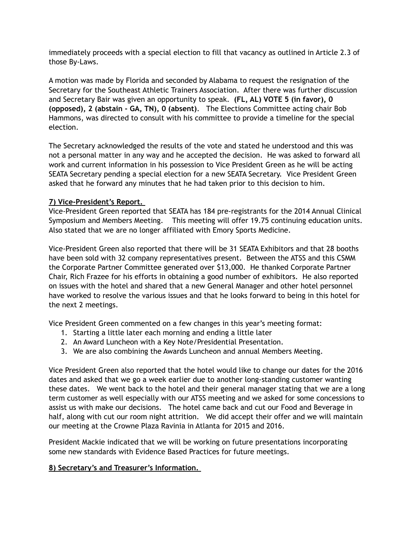immediately proceeds with a special election to fill that vacancy as outlined in Article 2.3 of those By-Laws.

A motion was made by Florida and seconded by Alabama to request the resignation of the Secretary for the Southeast Athletic Trainers Association. After there was further discussion and Secretary Bair was given an opportunity to speak. **(FL, AL) VOTE 5 (in favor), 0 (opposed), 2 (abstain - GA, TN), 0 (absent)**. The Elections Committee acting chair Bob Hammons, was directed to consult with his committee to provide a timeline for the special election.

The Secretary acknowledged the results of the vote and stated he understood and this was not a personal matter in any way and he accepted the decision. He was asked to forward all work and current information in his possession to Vice President Green as he will be acting SEATA Secretary pending a special election for a new SEATA Secretary. Vice President Green asked that he forward any minutes that he had taken prior to this decision to him.

# **7) Vice-President's Report.**

Vice-President Green reported that SEATA has 184 pre-registrants for the 2014 Annual Clinical Symposium and Members Meeting. This meeting will offer 19.75 continuing education units. Also stated that we are no longer affiliated with Emory Sports Medicine.

Vice-President Green also reported that there will be 31 SEATA Exhibitors and that 28 booths have been sold with 32 company representatives present. Between the ATSS and this CSMM the Corporate Partner Committee generated over \$13,000. He thanked Corporate Partner Chair, Rich Frazee for his efforts in obtaining a good number of exhibitors. He also reported on issues with the hotel and shared that a new General Manager and other hotel personnel have worked to resolve the various issues and that he looks forward to being in this hotel for the next 2 meetings.

Vice President Green commented on a few changes in this year's meeting format:

- 1. Starting a little later each morning and ending a little later
- 2. An Award Luncheon with a Key Note/Presidential Presentation.
- 3. We are also combining the Awards Luncheon and annual Members Meeting.

Vice President Green also reported that the hotel would like to change our dates for the 2016 dates and asked that we go a week earlier due to another long-standing customer wanting these dates. We went back to the hotel and their general manager stating that we are a long term customer as well especially with our ATSS meeting and we asked for some concessions to assist us with make our decisions. The hotel came back and cut our Food and Beverage in half, along with cut our room night attrition. We did accept their offer and we will maintain our meeting at the Crowne Plaza Ravinia in Atlanta for 2015 and 2016.

President Mackie indicated that we will be working on future presentations incorporating some new standards with Evidence Based Practices for future meetings.

# **8) Secretary's and Treasurer's Information.**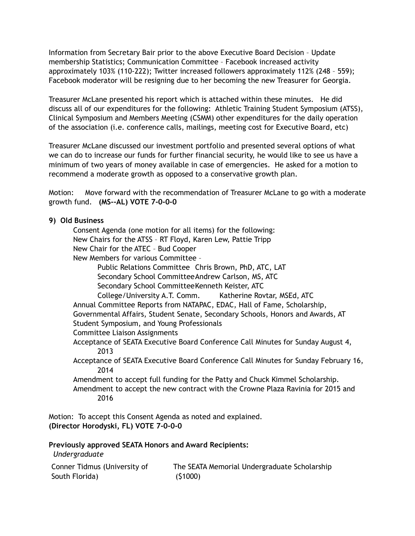Information from Secretary Bair prior to the above Executive Board Decision – Update membership Statistics; Communication Committee – Facebook increased activity approximately 103% (110-222); Twitter increased followers approximately 112% (248 – 559); Facebook moderator will be resigning due to her becoming the new Treasurer for Georgia.

Treasurer McLane presented his report which is attached within these minutes. He did discuss all of our expenditures for the following: Athletic Training Student Symposium (ATSS), Clinical Symposium and Members Meeting (CSMM) other expenditures for the daily operation of the association (i.e. conference calls, mailings, meeting cost for Executive Board, etc)

Treasurer McLane discussed our investment portfolio and presented several options of what we can do to increase our funds for further financial security, he would like to see us have a minimum of two years of money available in case of emergencies. He asked for a motion to recommend a moderate growth as opposed to a conservative growth plan.

Motion: Move forward with the recommendation of Treasurer McLane to go with a moderate growth fund. **(MS--AL) VOTE 7-0-0-0**

### **9) Old Business**

 Consent Agenda (one motion for all items) for the following: New Chairs for the ATSS – RT Floyd, Karen Lew, Pattie Tripp New Chair for the ATEC – Bud Cooper New Members for various Committee – Public Relations Committee Chris Brown, PhD, ATC, LAT Secondary School Committee Andrew Carlson, MS, ATC Secondary School Committee Kenneth Keister, ATC College/University A.T. Comm. Katherine Rovtar, MSEd, ATC Annual Committee Reports from NATAPAC, EDAC, Hall of Fame, Scholarship, Governmental Affairs, Student Senate, Secondary Schools, Honors and Awards, AT Student Symposium, and Young Professionals Committee Liaison Assignments Acceptance of SEATA Executive Board Conference Call Minutes for Sunday August 4, 2013 Acceptance of SEATA Executive Board Conference Call Minutes for Sunday February 16, 2014 Amendment to accept full funding for the Patty and Chuck Kimmel Scholarship. Amendment to accept the new contract with the Crowne Plaza Ravinia for 2015 and 2016

Motion: To accept this Consent Agenda as noted and explained. **(Director Horodyski, FL) VOTE 7-0-0-0**

**Previously approved SEATA Honors and Award Recipients:**   *Undergraduate*

| Conner Tidmus (University of | The SEATA Memorial Undergraduate Scholarship |
|------------------------------|----------------------------------------------|
| South Florida)               | (51000)                                      |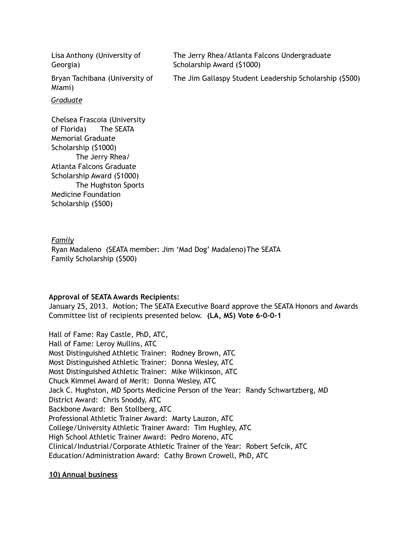| Lisa Anthony (University of<br>Georgia)                                              | The Jerry Rhea/Atlanta Falcons Undergraduate<br>Scholarship Award (\$1000) |
|--------------------------------------------------------------------------------------|----------------------------------------------------------------------------|
| Bryan Tachibana (University of<br>Miami)                                             | The Jim Gallaspy Student Leadership Scholarship (\$500)                    |
| Graduate                                                                             |                                                                            |
| Chelsea Frascoia (University<br>of Florida)<br>The SEATA<br><b>Memorial Graduate</b> |                                                                            |

*Family* Ryan Madaleno (SEATA member: Jim 'Mad Dog' Madaleno) The SEATA Family Scholarship (\$500)

#### **Approval of SEATA Awards Recipients:**

Scholarship (\$1000)

Medicine Foundation Scholarship (\$500)

 The Jerry Rhea/ Atlanta Falcons Graduate Scholarship Award (\$1000)

The Hughston Sports

January 25, 2013. Motion; The SEATA Executive Board approve the SEATA Honors and Awards Committee list of recipients presented below. **(LA, MS) Vote 6-0-0-1** 

Hall of Fame: Ray Castle, PhD, ATC, Hall of Fame: Leroy Mullins, ATC Most Distinguished Athletic Trainer: Rodney Brown, ATC Most Distinguished Athletic Trainer: Donna Wesley, ATC Most Distinguished Athletic Trainer: Mike Wilkinson, ATC Chuck Kimmel Award of Merit: Donna Wesley, ATC Jack C. Hughston, MD Sports Medicine Person of the Year: Randy Schwartzberg, MD District Award: Chris Snoddy, ATC Backbone Award: Ben Stollberg, ATC Professional Athletic Trainer Award: Marty Lauzon, ATC College/University Athletic Trainer Award: Tim Hughley, ATC High School Athletic Trainer Award: Pedro Moreno, ATC Clinical/Industrial/Corporate Athletic Trainer of the Year: Robert Sefcik, ATC Education/Administration Award: Cathy Brown Crowell, PhD, ATC

#### **10) Annual business**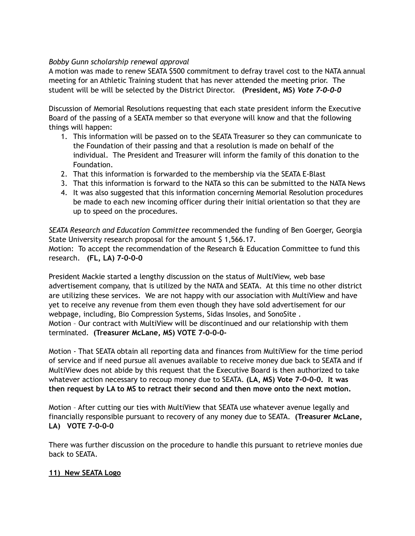## *Bobby Gunn scholarship renewal approval*

A motion was made to renew SEATA \$500 commitment to defray travel cost to the NATA annual meeting for an Athletic Training student that has never attended the meeting prior. The student will be will be selected by the District Director. **(President, MS)** *Vote 7-0-0-0*

Discussion of Memorial Resolutions requesting that each state president inform the Executive Board of the passing of a SEATA member so that everyone will know and that the following things will happen:

- 1. This information will be passed on to the SEATA Treasurer so they can communicate to the Foundation of their passing and that a resolution is made on behalf of the individual. The President and Treasurer will inform the family of this donation to the Foundation.
- 2. That this information is forwarded to the membership via the SEATA E-Blast
- 3. That this information is forward to the NATA so this can be submitted to the NATA News
- 4. It was also suggested that this information concerning Memorial Resolution procedures be made to each new incoming officer during their initial orientation so that they are up to speed on the procedures.

*SEATA Research and Education Committee* recommended the funding of Ben Goerger, Georgia State University research proposal for the amount \$1,566.17. Motion: To accept the recommendation of the Research & Education Committee to fund this research. **(FL, LA) 7-0-0-0**

President Mackie started a lengthy discussion on the status of MultiView, web base advertisement company, that is utilized by the NATA and SEATA. At this time no other district are utilizing these services. We are not happy with our association with MultiView and have yet to receive any revenue from them even though they have sold advertisement for our webpage, including, Bio Compression Systems, Sidas Insoles, and SonoSite . Motion – Our contract with MultiView will be discontinued and our relationship with them terminated. **(Treasurer McLane, MS) VOTE 7-0-0-0-**

Motion - That SEATA obtain all reporting data and finances from MultiView for the time period of service and if need pursue all avenues available to receive money due back to SEATA and if MultiView does not abide by this request that the Executive Board is then authorized to take whatever action necessary to recoup money due to SEATA. **(LA, MS) Vote 7-0-0-0. It was then request by LA to MS to retract their second and then move onto the next motion.**

Motion – After cutting our ties with MultiView that SEATA use whatever avenue legally and financially responsible pursuant to recovery of any money due to SEATA. **(Treasurer McLane, LA) VOTE 7-0-0-0** 

There was further discussion on the procedure to handle this pursuant to retrieve monies due back to SEATA.

# **11) New SEATA Logo**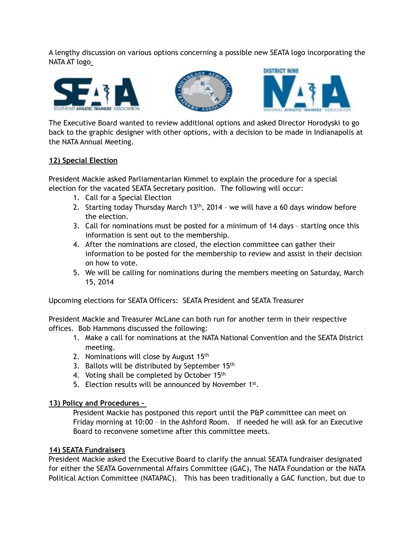A lengthy discussion on various options concerning a possible new SEATA logo incorporating the NATA AT logo







The Executive Board wanted to review additional options and asked Director Horodyski to go back to the graphic designer with other options, with a decision to be made in Indianapolis at the NATA Annual Meeting.

# **12) Special Election**

President Mackie asked Parliamentarian Kimmel to explain the procedure for a special election for the vacated SEATA Secretary position. The following will occur:

- 1. Call for a Special Election
- 2. Starting today Thursday March  $13<sup>th</sup>$ , 2014 we will have a 60 days window before the election.
- 3. Call for nominations must be posted for a minimum of 14 days starting once this information is sent out to the membership.
- 4. After the nominations are closed, the election committee can gather their information to be posted for the membership to review and assist in their decision on how to vote.
- 5. We will be calling for nominations during the members meeting on Saturday, March 15, 2014

Upcoming elections for SEATA Officers: SEATA President and SEATA Treasurer

President Mackie and Treasurer McLane can both run for another term in their respective offices. Bob Hammons discussed the following:

- 1. Make a call for nominations at the NATA National Convention and the SEATA District meeting.
- 2. Nominations will close by August  $15<sup>th</sup>$
- 3. Ballots will be distributed by September 15<sup>th</sup>
- 4. Voting shall be completed by October 15<sup>th</sup>
- 5. Election results will be announced by November 1st.

# **13) Policy and Procedures –**

President Mackie has postponed this report until the P&P committee can meet on Friday morning at 10:00 – in the Ashford Room. If needed he will ask for an Executive Board to reconvene sometime after this committee meets.

# **14) SEATA Fundraisers**

President Mackie asked the Executive Board to clarify the annual SEATA fundraiser designated for either the SEATA Governmental Affairs Committee (GAC), The NATA Foundation or the NATA Political Action Committee (NATAPAC). This has been traditionally a GAC function, but due to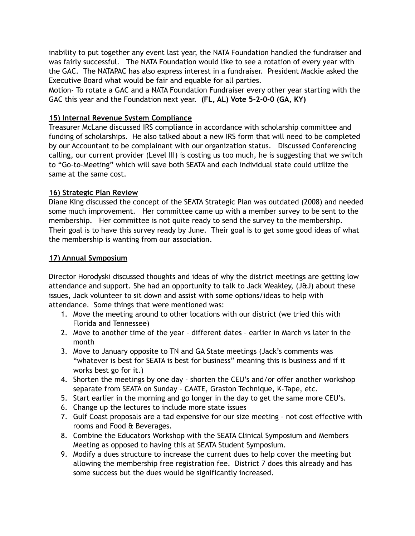inability to put together any event last year, the NATA Foundation handled the fundraiser and was fairly successful. The NATA Foundation would like to see a rotation of every year with the GAC. The NATAPAC has also express interest in a fundraiser. President Mackie asked the Executive Board what would be fair and equable for all parties.

Motion- To rotate a GAC and a NATA Foundation Fundraiser every other year starting with the GAC this year and the Foundation next year. **(FL, AL) Vote 5-2-0-0 (GA, KY)** 

## **15) Internal Revenue System Compliance**

Treasurer McLane discussed IRS compliance in accordance with scholarship committee and funding of scholarships. He also talked about a new IRS form that will need to be completed by our Accountant to be complainant with our organization status. Discussed Conferencing calling, our current provider (Level III) is costing us too much, he is suggesting that we switch to "Go-to-Meeting" which will save both SEATA and each individual state could utilize the same at the same cost.

### **16) Strategic Plan Review**

Diane King discussed the concept of the SEATA Strategic Plan was outdated (2008) and needed some much improvement. Her committee came up with a member survey to be sent to the membership. Her committee is not quite ready to send the survey to the membership. Their goal is to have this survey ready by June. Their goal is to get some good ideas of what the membership is wanting from our association.

## **17) Annual Symposium**

Director Horodyski discussed thoughts and ideas of why the district meetings are getting low attendance and support. She had an opportunity to talk to Jack Weakley, (J&J) about these issues, Jack volunteer to sit down and assist with some options/ideas to help with attendance. Some things that were mentioned was:

- 1. Move the meeting around to other locations with our district (we tried this with Florida and Tennessee)
- 2. Move to another time of the year different dates earlier in March vs later in the month
- 3. Move to January opposite to TN and GA State meetings (Jack's comments was "whatever is best for SEATA is best for business" meaning this is business and if it works best go for it.)
- 4. Shorten the meetings by one day shorten the CEU's and/or offer another workshop separate from SEATA on Sunday – CAATE, Graston Technique, K-Tape, etc.
- 5. Start earlier in the morning and go longer in the day to get the same more CEU's.
- 6. Change up the lectures to include more state issues
- 7. Gulf Coast proposals are a tad expensive for our size meeting not cost effective with rooms and Food & Beverages.
- 8. Combine the Educators Workshop with the SEATA Clinical Symposium and Members Meeting as opposed to having this at SEATA Student Symposium.
- 9. Modify a dues structure to increase the current dues to help cover the meeting but allowing the membership free registration fee. District 7 does this already and has some success but the dues would be significantly increased.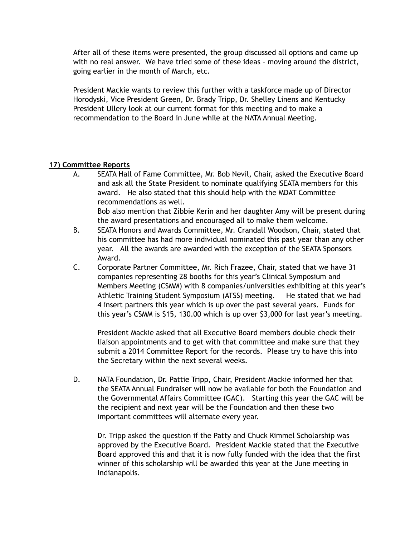After all of these items were presented, the group discussed all options and came up with no real answer. We have tried some of these ideas – moving around the district, going earlier in the month of March, etc.

President Mackie wants to review this further with a taskforce made up of Director Horodyski, Vice President Green, Dr. Brady Tripp, Dr. Shelley Linens and Kentucky President Ullery look at our current format for this meeting and to make a recommendation to the Board in June while at the NATA Annual Meeting.

# **17) Committee Reports**

A. SEATA Hall of Fame Committee, Mr. Bob Nevil, Chair, asked the Executive Board and ask all the State President to nominate qualifying SEATA members for this award. He also stated that this should help with the MDAT Committee recommendations as well.

 Bob also mention that Zibbie Kerin and her daughter Amy will be present during the award presentations and encouraged all to make them welcome.

- B. SEATA Honors and Awards Committee, Mr. Crandall Woodson, Chair, stated that his committee has had more individual nominated this past year than any other year. All the awards are awarded with the exception of the SEATA Sponsors Award.
- C. Corporate Partner Committee, Mr. Rich Frazee, Chair, stated that we have 31 companies representing 28 booths for this year's Clinical Symposium and Members Meeting (CSMM) with 8 companies/universities exhibiting at this year's Athletic Training Student Symposium (ATSS) meeting. He stated that we had 4 insert partners this year which is up over the past several years. Funds for this year's CSMM is \$15, 130.00 which is up over \$3,000 for last year's meeting.

 President Mackie asked that all Executive Board members double check their liaison appointments and to get with that committee and make sure that they submit a 2014 Committee Report for the records. Please try to have this into the Secretary within the next several weeks.

D. NATA Foundation, Dr. Pattie Tripp, Chair, President Mackie informed her that the SEATA Annual Fundraiser will now be available for both the Foundation and the Governmental Affairs Committee (GAC). Starting this year the GAC will be the recipient and next year will be the Foundation and then these two important committees will alternate every year.

 Dr. Tripp asked the question if the Patty and Chuck Kimmel Scholarship was approved by the Executive Board. President Mackie stated that the Executive Board approved this and that it is now fully funded with the idea that the first winner of this scholarship will be awarded this year at the June meeting in Indianapolis.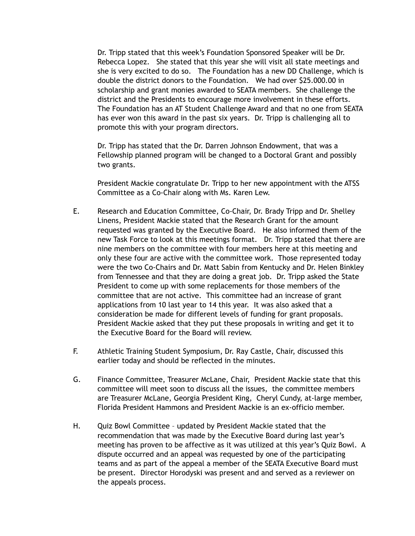Dr. Tripp stated that this week's Foundation Sponsored Speaker will be Dr. Rebecca Lopez. She stated that this year she will visit all state meetings and she is very excited to do so. The Foundation has a new DD Challenge, which is double the district donors to the Foundation. We had over \$25.000.00 in scholarship and grant monies awarded to SEATA members. She challenge the district and the Presidents to encourage more involvement in these efforts. The Foundation has an AT Student Challenge Award and that no one from SEATA has ever won this award in the past six years. Dr. Tripp is challenging all to promote this with your program directors.

 Dr. Tripp has stated that the Dr. Darren Johnson Endowment, that was a Fellowship planned program will be changed to a Doctoral Grant and possibly two grants.

President Mackie congratulate Dr. Tripp to her new appointment with the ATSS Committee as a Co-Chair along with Ms. Karen Lew.

- E. Research and Education Committee, Co-Chair, Dr. Brady Tripp and Dr. Shelley Linens, President Mackie stated that the Research Grant for the amount requested was granted by the Executive Board. He also informed them of the new Task Force to look at this meetings format. Dr. Tripp stated that there are nine members on the committee with four members here at this meeting and only these four are active with the committee work. Those represented today were the two Co-Chairs and Dr. Matt Sabin from Kentucky and Dr. Helen Binkley from Tennessee and that they are doing a great job. Dr. Tripp asked the State President to come up with some replacements for those members of the committee that are not active. This committee had an increase of grant applications from 10 last year to 14 this year. It was also asked that a consideration be made for different levels of funding for grant proposals. President Mackie asked that they put these proposals in writing and get it to the Executive Board for the Board will review.
- F. Athletic Training Student Symposium, Dr. Ray Castle, Chair, discussed this earlier today and should be reflected in the minutes.
- G. Finance Committee, Treasurer McLane, Chair, President Mackie state that this committee will meet soon to discuss all the issues, the committee members are Treasurer McLane, Georgia President King, Cheryl Cundy, at-large member, Florida President Hammons and President Mackie is an ex-officio member.
- H. Quiz Bowl Committee updated by President Mackie stated that the recommendation that was made by the Executive Board during last year's meeting has proven to be affective as it was utilized at this year's Quiz Bowl. A dispute occurred and an appeal was requested by one of the participating teams and as part of the appeal a member of the SEATA Executive Board must be present. Director Horodyski was present and and served as a reviewer on the appeals process.